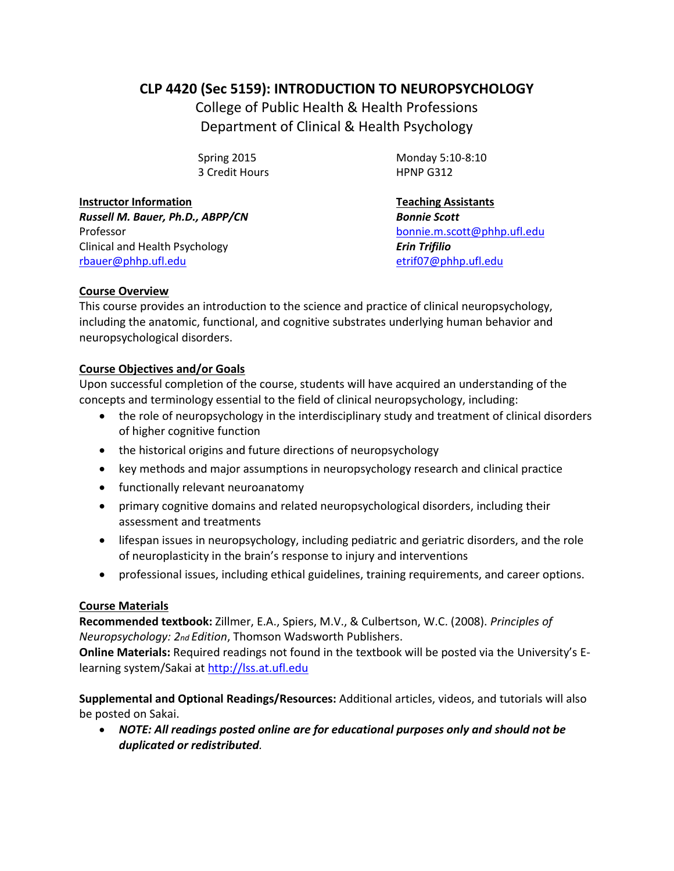# **CLP 4420 (Sec 5159): INTRODUCTION TO NEUROPSYCHOLOGY**

College of Public Health & Health Professions Department of Clinical & Health Psychology

3 Credit Hours HPNP G312

**Instructor Information Teaching Assistants** *Russell M. Bauer, Ph.D., ABPP/CN Bonnie Scott* Professor [bonnie.m.scott@phhp.ufl.edu](mailto:bonnie.m.scott@phhp.ufl.edu) Clinical and Health Psychology *Erin Trifilio* [rbauer@phhp.ufl.edu](mailto:rbauer@phhp.ufl.edu) [etrif07@phhp.ufl.edu](mailto:etrif07@phhp.ufl.edu)

Spring 2015 Monday 5:10-8:10

# **Course Overview**

This course provides an introduction to the science and practice of clinical neuropsychology, including the anatomic, functional, and cognitive substrates underlying human behavior and neuropsychological disorders.

# **Course Objectives and/or Goals**

Upon successful completion of the course, students will have acquired an understanding of the concepts and terminology essential to the field of clinical neuropsychology, including:

- the role of neuropsychology in the interdisciplinary study and treatment of clinical disorders of higher cognitive function
- the historical origins and future directions of neuropsychology
- key methods and major assumptions in neuropsychology research and clinical practice
- functionally relevant neuroanatomy
- primary cognitive domains and related neuropsychological disorders, including their assessment and treatments
- lifespan issues in neuropsychology, including pediatric and geriatric disorders, and the role of neuroplasticity in the brain's response to injury and interventions
- professional issues, including ethical guidelines, training requirements, and career options.

# **Course Materials**

**Recommended textbook:** Zillmer, E.A., Spiers, M.V., & Culbertson, W.C. (2008). *Principles of Neuropsychology: 2nd Edition*, Thomson Wadsworth Publishers.

**Online Materials:** Required readings not found in the textbook will be posted via the University's Elearning system/Sakai a[t http://lss.at.ufl.edu](http://lss.at.ufl.edu/)

**Supplemental and Optional Readings/Resources:** Additional articles, videos, and tutorials will also be posted on Sakai.

 *NOTE: All readings posted online are for educational purposes only and should not be duplicated or redistributed.*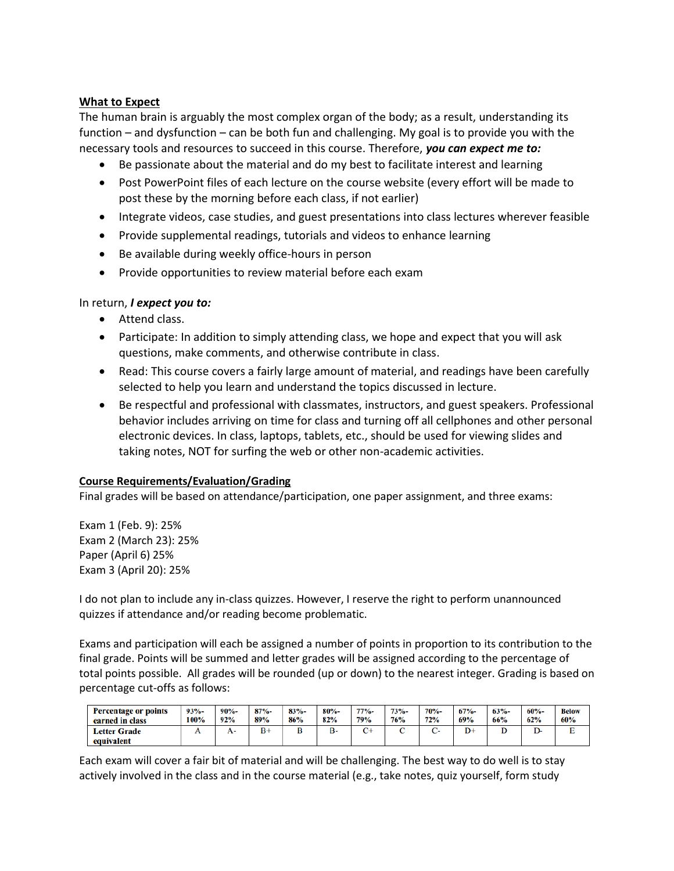### **What to Expect**

The human brain is arguably the most complex organ of the body; as a result, understanding its function – and dysfunction – can be both fun and challenging. My goal is to provide you with the necessary tools and resources to succeed in this course. Therefore, *you can expect me to:* 

- Be passionate about the material and do my best to facilitate interest and learning
- Post PowerPoint files of each lecture on the course website (every effort will be made to post these by the morning before each class, if not earlier)
- Integrate videos, case studies, and guest presentations into class lectures wherever feasible
- Provide supplemental readings, tutorials and videos to enhance learning
- Be available during weekly office-hours in person
- Provide opportunities to review material before each exam

### In return, *I expect you to:*

- Attend class.
- Participate: In addition to simply attending class, we hope and expect that you will ask questions, make comments, and otherwise contribute in class.
- Read: This course covers a fairly large amount of material, and readings have been carefully selected to help you learn and understand the topics discussed in lecture.
- Be respectful and professional with classmates, instructors, and guest speakers. Professional behavior includes arriving on time for class and turning off all cellphones and other personal electronic devices. In class, laptops, tablets, etc., should be used for viewing slides and taking notes, NOT for surfing the web or other non-academic activities.

# **Course Requirements/Evaluation/Grading**

Final grades will be based on attendance/participation, one paper assignment, and three exams:

Exam 1 (Feb. 9): 25% Exam 2 (March 23): 25% Paper (April 6) 25% Exam 3 (April 20): 25%

I do not plan to include any in-class quizzes. However, I reserve the right to perform unannounced quizzes if attendance and/or reading become problematic.

Exams and participation will each be assigned a number of points in proportion to its contribution to the final grade. Points will be summed and letter grades will be assigned according to the percentage of total points possible. All grades will be rounded (up or down) to the nearest integer. Grading is based on percentage cut-offs as follows:

| <b>Percentage or points</b>       | $93% -$ | $90% -$ | $87% -$ | $83% -$ | $80% -$ | $77% -$ | $73% -$    | 70%- | $67% -$ | $63% -$ | $60% -$ | <b>Below</b> |
|-----------------------------------|---------|---------|---------|---------|---------|---------|------------|------|---------|---------|---------|--------------|
| earned in class                   | 100%    | 92%     | 89%     | 86%     | 82%     | 79%     | <b>76%</b> | 72%  | 69%     | 66%     | 62%     | 60%          |
| <b>Letter Grade</b><br>equivalent | . .     | А-      | $B+$    |         | В-      | n.      |            |      | D+      |         |         |              |

Each exam will cover a fair bit of material and will be challenging. The best way to do well is to stay actively involved in the class and in the course material (e.g., take notes, quiz yourself, form study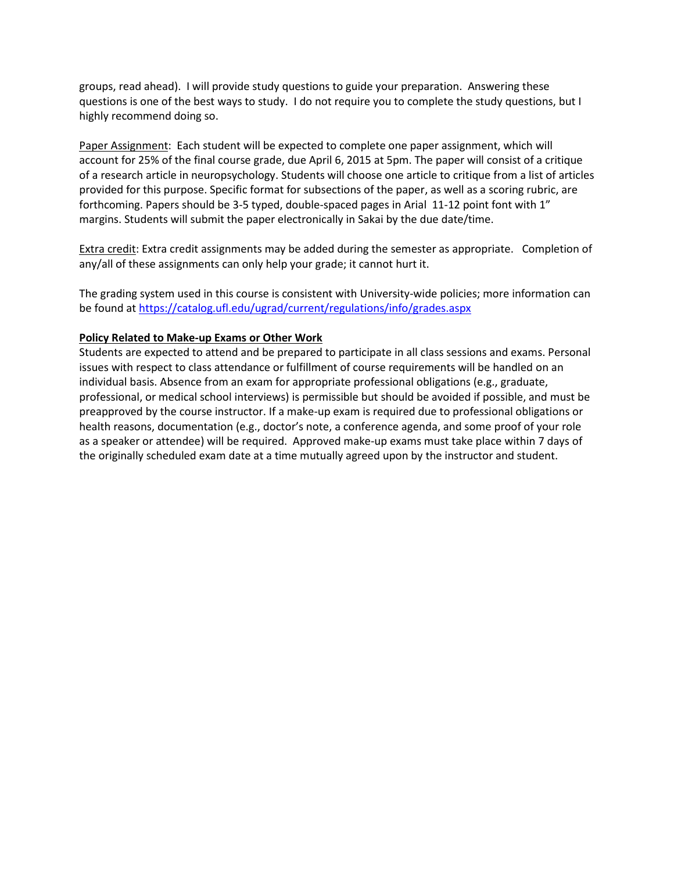groups, read ahead). I will provide study questions to guide your preparation. Answering these questions is one of the best ways to study. I do not require you to complete the study questions, but I highly recommend doing so.

Paper Assignment: Each student will be expected to complete one paper assignment, which will account for 25% of the final course grade, due April 6, 2015 at 5pm. The paper will consist of a critique of a research article in neuropsychology. Students will choose one article to critique from a list of articles provided for this purpose. Specific format for subsections of the paper, as well as a scoring rubric, are forthcoming. Papers should be 3-5 typed, double-spaced pages in Arial 11-12 point font with 1" margins. Students will submit the paper electronically in Sakai by the due date/time.

Extra credit: Extra credit assignments may be added during the semester as appropriate. Completion of any/all of these assignments can only help your grade; it cannot hurt it.

The grading system used in this course is consistent with University-wide policies; more information can be found at<https://catalog.ufl.edu/ugrad/current/regulations/info/grades.aspx>

#### **Policy Related to Make-up Exams or Other Work**

Students are expected to attend and be prepared to participate in all class sessions and exams. Personal issues with respect to class attendance or fulfillment of course requirements will be handled on an individual basis. Absence from an exam for appropriate professional obligations (e.g., graduate, professional, or medical school interviews) is permissible but should be avoided if possible, and must be preapproved by the course instructor. If a make-up exam is required due to professional obligations or health reasons, documentation (e.g., doctor's note, a conference agenda, and some proof of your role as a speaker or attendee) will be required. Approved make-up exams must take place within 7 days of the originally scheduled exam date at a time mutually agreed upon by the instructor and student.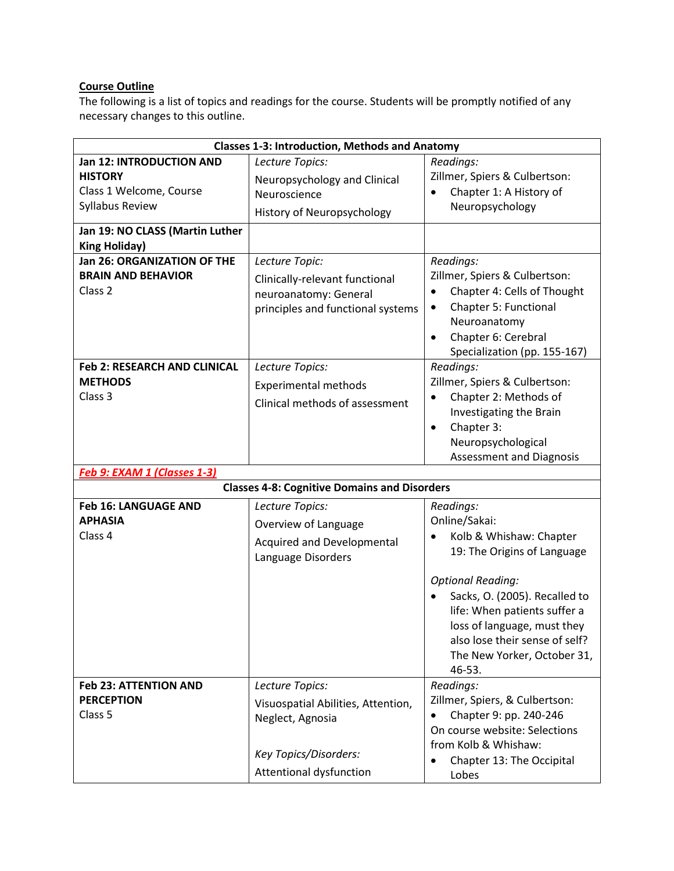# **Course Outline**

The following is a list of topics and readings for the course. Students will be promptly notified of any necessary changes to this outline.

| <b>Classes 1-3: Introduction, Methods and Anatomy</b> |                                                     |                                    |  |  |  |
|-------------------------------------------------------|-----------------------------------------------------|------------------------------------|--|--|--|
| <b>Jan 12: INTRODUCTION AND</b>                       | Lecture Topics:                                     | Readings:                          |  |  |  |
| <b>HISTORY</b>                                        | Neuropsychology and Clinical                        | Zillmer, Spiers & Culbertson:      |  |  |  |
| Class 1 Welcome, Course                               | Neuroscience                                        | Chapter 1: A History of            |  |  |  |
| Syllabus Review                                       | History of Neuropsychology                          | Neuropsychology                    |  |  |  |
|                                                       |                                                     |                                    |  |  |  |
| Jan 19: NO CLASS (Martin Luther                       |                                                     |                                    |  |  |  |
| <b>King Holiday)</b>                                  |                                                     |                                    |  |  |  |
| Jan 26: ORGANIZATION OF THE                           | Lecture Topic:                                      | Readings:                          |  |  |  |
| <b>BRAIN AND BEHAVIOR</b>                             | Clinically-relevant functional                      | Zillmer, Spiers & Culbertson:      |  |  |  |
| Class <sub>2</sub>                                    | neuroanatomy: General                               | Chapter 4: Cells of Thought        |  |  |  |
|                                                       | principles and functional systems                   | Chapter 5: Functional<br>$\bullet$ |  |  |  |
|                                                       |                                                     | Neuroanatomy                       |  |  |  |
|                                                       |                                                     | Chapter 6: Cerebral<br>$\bullet$   |  |  |  |
|                                                       |                                                     | Specialization (pp. 155-167)       |  |  |  |
| <b>Feb 2: RESEARCH AND CLINICAL</b>                   | Lecture Topics:                                     | Readings:                          |  |  |  |
| <b>METHODS</b>                                        | <b>Experimental methods</b>                         | Zillmer, Spiers & Culbertson:      |  |  |  |
| Class 3                                               | Clinical methods of assessment                      | Chapter 2: Methods of              |  |  |  |
|                                                       |                                                     | Investigating the Brain            |  |  |  |
|                                                       |                                                     | Chapter 3:<br>$\bullet$            |  |  |  |
|                                                       |                                                     | Neuropsychological                 |  |  |  |
|                                                       |                                                     | <b>Assessment and Diagnosis</b>    |  |  |  |
| Feb 9: EXAM 1 (Classes 1-3)                           |                                                     |                                    |  |  |  |
|                                                       | <b>Classes 4-8: Cognitive Domains and Disorders</b> |                                    |  |  |  |
| Feb 16: LANGUAGE AND                                  | Lecture Topics:                                     | Readings:                          |  |  |  |
| <b>APHASIA</b>                                        | Overview of Language                                | Online/Sakai:                      |  |  |  |
| Class 4                                               | Acquired and Developmental                          | Kolb & Whishaw: Chapter            |  |  |  |
|                                                       | Language Disorders                                  | 19: The Origins of Language        |  |  |  |
|                                                       |                                                     |                                    |  |  |  |
|                                                       |                                                     | <b>Optional Reading:</b>           |  |  |  |
|                                                       |                                                     | Sacks, O. (2005). Recalled to      |  |  |  |
|                                                       |                                                     | life: When patients suffer a       |  |  |  |
|                                                       |                                                     | loss of language, must they        |  |  |  |
|                                                       |                                                     | also lose their sense of self?     |  |  |  |
|                                                       |                                                     | The New Yorker, October 31,        |  |  |  |
|                                                       |                                                     | 46-53.                             |  |  |  |
| <b>Feb 23: ATTENTION AND</b>                          | Lecture Topics:                                     | Readings:                          |  |  |  |
| <b>PERCEPTION</b>                                     | Visuospatial Abilities, Attention,                  | Zillmer, Spiers, & Culbertson:     |  |  |  |
| Class <sub>5</sub>                                    | Neglect, Agnosia                                    | Chapter 9: pp. 240-246             |  |  |  |
|                                                       |                                                     | On course website: Selections      |  |  |  |
|                                                       |                                                     | from Kolb & Whishaw:               |  |  |  |
|                                                       | Key Topics/Disorders:                               | Chapter 13: The Occipital          |  |  |  |
|                                                       | Attentional dysfunction                             | Lobes                              |  |  |  |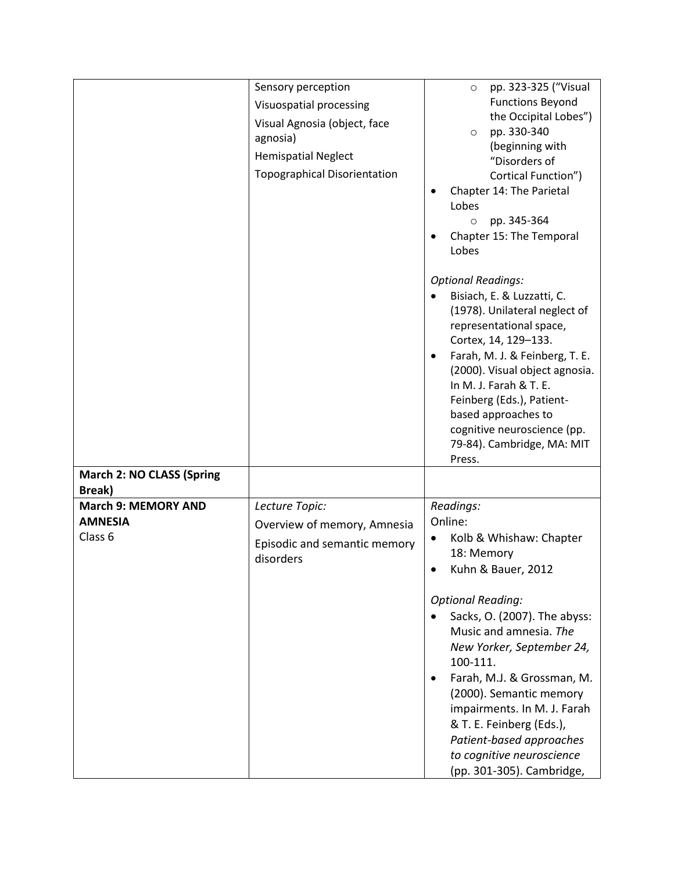|                                  | Sensory perception                  | pp. 323-325 ("Visual<br>$\circ$         |  |  |
|----------------------------------|-------------------------------------|-----------------------------------------|--|--|
|                                  | Visuospatial processing             | <b>Functions Beyond</b>                 |  |  |
|                                  |                                     | the Occipital Lobes")                   |  |  |
|                                  | Visual Agnosia (object, face        | pp. 330-340<br>$\circ$                  |  |  |
|                                  | agnosia)                            | (beginning with                         |  |  |
|                                  | <b>Hemispatial Neglect</b>          | "Disorders of                           |  |  |
|                                  | <b>Topographical Disorientation</b> | Cortical Function")                     |  |  |
|                                  |                                     | Chapter 14: The Parietal                |  |  |
|                                  |                                     | Lobes                                   |  |  |
|                                  |                                     | pp. 345-364<br>$\circ$                  |  |  |
|                                  |                                     | Chapter 15: The Temporal                |  |  |
|                                  |                                     | Lobes                                   |  |  |
|                                  |                                     |                                         |  |  |
|                                  |                                     | <b>Optional Readings:</b>               |  |  |
|                                  |                                     | Bisiach, E. & Luzzatti, C.              |  |  |
|                                  |                                     | (1978). Unilateral neglect of           |  |  |
|                                  |                                     | representational space,                 |  |  |
|                                  |                                     | Cortex, 14, 129-133.                    |  |  |
|                                  |                                     | Farah, M. J. & Feinberg, T. E.          |  |  |
|                                  |                                     | (2000). Visual object agnosia.          |  |  |
|                                  |                                     | In M. J. Farah & T. E.                  |  |  |
|                                  |                                     | Feinberg (Eds.), Patient-               |  |  |
|                                  |                                     | based approaches to                     |  |  |
|                                  |                                     | cognitive neuroscience (pp.             |  |  |
|                                  |                                     |                                         |  |  |
|                                  |                                     | 79-84). Cambridge, MA: MIT<br>Press.    |  |  |
| <b>March 2: NO CLASS (Spring</b> |                                     |                                         |  |  |
| Break)                           |                                     |                                         |  |  |
| <b>March 9: MEMORY AND</b>       | Lecture Topic:                      | Readings:                               |  |  |
| <b>AMNESIA</b>                   |                                     | Online:                                 |  |  |
|                                  | Overview of memory, Amnesia         |                                         |  |  |
| Class 6                          | Episodic and semantic memory        | Kolb & Whishaw: Chapter<br>$\bullet$    |  |  |
|                                  | disorders                           | 18: Memory                              |  |  |
|                                  |                                     | Kuhn & Bauer, 2012                      |  |  |
|                                  |                                     | <b>Optional Reading:</b>                |  |  |
|                                  |                                     | Sacks, O. (2007). The abyss:            |  |  |
|                                  |                                     | Music and amnesia. The                  |  |  |
|                                  |                                     |                                         |  |  |
|                                  |                                     | New Yorker, September 24,               |  |  |
|                                  |                                     | 100-111.                                |  |  |
|                                  |                                     | Farah, M.J. & Grossman, M.<br>$\bullet$ |  |  |
|                                  |                                     | (2000). Semantic memory                 |  |  |
|                                  |                                     | impairments. In M. J. Farah             |  |  |
|                                  |                                     | & T. E. Feinberg (Eds.),                |  |  |
|                                  |                                     | Patient-based approaches                |  |  |
|                                  |                                     | to cognitive neuroscience               |  |  |
|                                  |                                     | (pp. 301-305). Cambridge,               |  |  |
|                                  |                                     |                                         |  |  |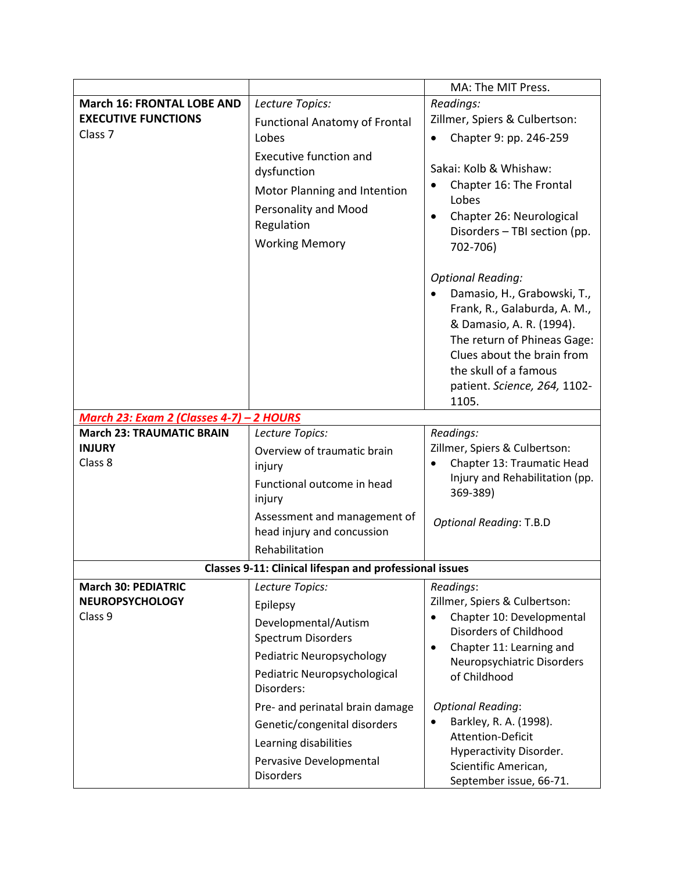|                                          |                                                                                                                                             | MA: The MIT Press.                                                                                                                                                                                                                                                                                                                                                                           |  |  |
|------------------------------------------|---------------------------------------------------------------------------------------------------------------------------------------------|----------------------------------------------------------------------------------------------------------------------------------------------------------------------------------------------------------------------------------------------------------------------------------------------------------------------------------------------------------------------------------------------|--|--|
| <b>March 16: FRONTAL LOBE AND</b>        | Lecture Topics:                                                                                                                             | Readings:                                                                                                                                                                                                                                                                                                                                                                                    |  |  |
| <b>EXECUTIVE FUNCTIONS</b>               | <b>Functional Anatomy of Frontal</b>                                                                                                        | Zillmer, Spiers & Culbertson:                                                                                                                                                                                                                                                                                                                                                                |  |  |
| Class <sub>7</sub>                       | Lobes                                                                                                                                       | Chapter 9: pp. 246-259                                                                                                                                                                                                                                                                                                                                                                       |  |  |
|                                          | <b>Executive function and</b><br>dysfunction<br>Motor Planning and Intention<br>Personality and Mood<br>Regulation<br><b>Working Memory</b> | Sakai: Kolb & Whishaw:<br>Chapter 16: The Frontal<br>Lobes<br>Chapter 26: Neurological<br>$\bullet$<br>Disorders - TBI section (pp.<br>702-706)<br><b>Optional Reading:</b><br>Damasio, H., Grabowski, T.,<br>Frank, R., Galaburda, A. M.,<br>& Damasio, A. R. (1994).<br>The return of Phineas Gage:<br>Clues about the brain from<br>the skull of a famous<br>patient. Science, 264, 1102- |  |  |
|                                          |                                                                                                                                             | 1105.                                                                                                                                                                                                                                                                                                                                                                                        |  |  |
| March 23: Exam 2 (Classes 4-7) - 2 HOURS |                                                                                                                                             |                                                                                                                                                                                                                                                                                                                                                                                              |  |  |
| <b>March 23: TRAUMATIC BRAIN</b>         | Lecture Topics:                                                                                                                             | Readings:                                                                                                                                                                                                                                                                                                                                                                                    |  |  |
| <b>INJURY</b>                            | Overview of traumatic brain                                                                                                                 | Zillmer, Spiers & Culbertson:                                                                                                                                                                                                                                                                                                                                                                |  |  |
| Class 8                                  | injury                                                                                                                                      | Chapter 13: Traumatic Head<br>$\bullet$<br>Injury and Rehabilitation (pp.                                                                                                                                                                                                                                                                                                                    |  |  |
|                                          | Functional outcome in head<br>injury                                                                                                        | 369-389)                                                                                                                                                                                                                                                                                                                                                                                     |  |  |
|                                          | Assessment and management of<br>head injury and concussion                                                                                  | <b>Optional Reading: T.B.D</b>                                                                                                                                                                                                                                                                                                                                                               |  |  |
|                                          | Rehabilitation                                                                                                                              |                                                                                                                                                                                                                                                                                                                                                                                              |  |  |
|                                          | <b>Classes 9-11: Clinical lifespan and professional issues</b>                                                                              |                                                                                                                                                                                                                                                                                                                                                                                              |  |  |
| <b>March 30: PEDIATRIC</b>               | Lecture Topics:                                                                                                                             | Readings:                                                                                                                                                                                                                                                                                                                                                                                    |  |  |
| <b>NEUROPSYCHOLOGY</b>                   | Epilepsy                                                                                                                                    | Zillmer, Spiers & Culbertson:                                                                                                                                                                                                                                                                                                                                                                |  |  |
| Class 9                                  | Developmental/Autism                                                                                                                        | Chapter 10: Developmental                                                                                                                                                                                                                                                                                                                                                                    |  |  |
|                                          | Spectrum Disorders                                                                                                                          | Disorders of Childhood<br>Chapter 11: Learning and                                                                                                                                                                                                                                                                                                                                           |  |  |
|                                          | Pediatric Neuropsychology                                                                                                                   | Neuropsychiatric Disorders                                                                                                                                                                                                                                                                                                                                                                   |  |  |
|                                          | Pediatric Neuropsychological<br>Disorders:                                                                                                  | of Childhood                                                                                                                                                                                                                                                                                                                                                                                 |  |  |
|                                          | Pre- and perinatal brain damage                                                                                                             | <b>Optional Reading:</b>                                                                                                                                                                                                                                                                                                                                                                     |  |  |
|                                          | Genetic/congenital disorders                                                                                                                | Barkley, R. A. (1998).                                                                                                                                                                                                                                                                                                                                                                       |  |  |
|                                          | Learning disabilities                                                                                                                       | Attention-Deficit                                                                                                                                                                                                                                                                                                                                                                            |  |  |
|                                          | Pervasive Developmental<br><b>Disorders</b>                                                                                                 | Hyperactivity Disorder.<br>Scientific American,<br>September issue, 66-71.                                                                                                                                                                                                                                                                                                                   |  |  |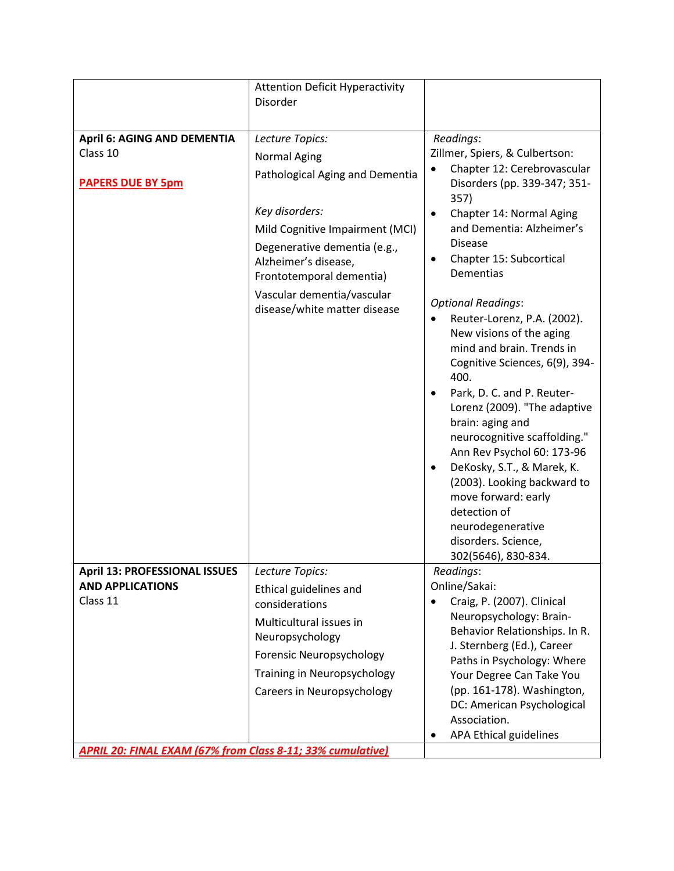|                                                            | <b>Attention Deficit Hyperactivity</b><br>Disorder                               |                                                                                                                                                                                                                                                                                                                                                                                                                                                             |
|------------------------------------------------------------|----------------------------------------------------------------------------------|-------------------------------------------------------------------------------------------------------------------------------------------------------------------------------------------------------------------------------------------------------------------------------------------------------------------------------------------------------------------------------------------------------------------------------------------------------------|
|                                                            |                                                                                  |                                                                                                                                                                                                                                                                                                                                                                                                                                                             |
| <b>April 6: AGING AND DEMENTIA</b>                         | Lecture Topics:                                                                  | Readings:                                                                                                                                                                                                                                                                                                                                                                                                                                                   |
| Class 10                                                   | <b>Normal Aging</b>                                                              | Zillmer, Spiers, & Culbertson:<br>Chapter 12: Cerebrovascular                                                                                                                                                                                                                                                                                                                                                                                               |
| <b>PAPERS DUE BY 5pm</b>                                   | Pathological Aging and Dementia                                                  | Disorders (pp. 339-347; 351-<br>357)                                                                                                                                                                                                                                                                                                                                                                                                                        |
|                                                            | Key disorders:                                                                   | Chapter 14: Normal Aging                                                                                                                                                                                                                                                                                                                                                                                                                                    |
|                                                            | Mild Cognitive Impairment (MCI)                                                  | and Dementia: Alzheimer's                                                                                                                                                                                                                                                                                                                                                                                                                                   |
|                                                            | Degenerative dementia (e.g.,<br>Alzheimer's disease,<br>Frontotemporal dementia) | <b>Disease</b><br>Chapter 15: Subcortical<br><b>Dementias</b>                                                                                                                                                                                                                                                                                                                                                                                               |
|                                                            | Vascular dementia/vascular<br>disease/white matter disease                       | <b>Optional Readings:</b><br>Reuter-Lorenz, P.A. (2002).<br>New visions of the aging<br>mind and brain. Trends in<br>Cognitive Sciences, 6(9), 394-<br>400.<br>Park, D. C. and P. Reuter-<br>Lorenz (2009). "The adaptive<br>brain: aging and<br>neurocognitive scaffolding."<br>Ann Rev Psychol 60: 173-96<br>DeKosky, S.T., & Marek, K.<br>(2003). Looking backward to<br>move forward: early<br>detection of<br>neurodegenerative<br>disorders. Science, |
|                                                            |                                                                                  | 302(5646), 830-834.                                                                                                                                                                                                                                                                                                                                                                                                                                         |
| <b>April 13: PROFESSIONAL ISSUES</b>                       | Lecture Topics:                                                                  | Readings:                                                                                                                                                                                                                                                                                                                                                                                                                                                   |
| <b>AND APPLICATIONS</b><br>Class 11                        | Ethical guidelines and<br>considerations                                         | Online/Sakai:<br>Craig, P. (2007). Clinical<br>$\bullet$                                                                                                                                                                                                                                                                                                                                                                                                    |
|                                                            | Multicultural issues in<br>Neuropsychology                                       | Neuropsychology: Brain-<br>Behavior Relationships. In R.                                                                                                                                                                                                                                                                                                                                                                                                    |
|                                                            | Forensic Neuropsychology                                                         | J. Sternberg (Ed.), Career<br>Paths in Psychology: Where                                                                                                                                                                                                                                                                                                                                                                                                    |
|                                                            | Training in Neuropsychology                                                      | Your Degree Can Take You                                                                                                                                                                                                                                                                                                                                                                                                                                    |
|                                                            | <b>Careers in Neuropsychology</b>                                                | (pp. 161-178). Washington,<br>DC: American Psychological<br>Association.                                                                                                                                                                                                                                                                                                                                                                                    |
|                                                            |                                                                                  | APA Ethical guidelines<br>$\bullet$                                                                                                                                                                                                                                                                                                                                                                                                                         |
| APRIL 20: FINAL EXAM (67% from Class 8-11; 33% cumulative) |                                                                                  |                                                                                                                                                                                                                                                                                                                                                                                                                                                             |